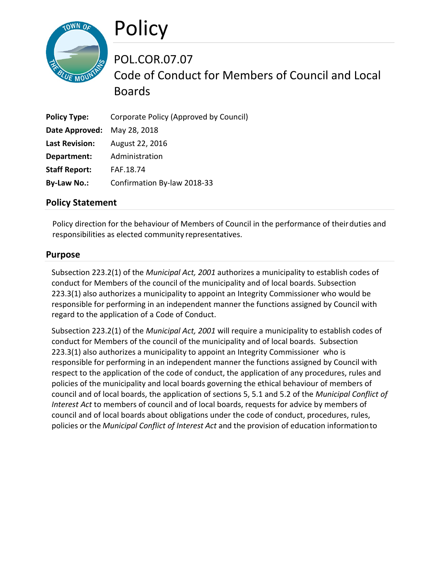

POL.COR.07.07 Code of Conduct for Members of Council and Local Boards

| <b>Policy Type:</b>         | Corporate Policy (Approved by Council) |
|-----------------------------|----------------------------------------|
| Date Approved: May 28, 2018 |                                        |
| <b>Last Revision:</b>       | August 22, 2016                        |
| Department:                 | Administration                         |
| <b>Staff Report:</b>        | FAF.18.74                              |
| <b>By-Law No.:</b>          | Confirmation By-law 2018-33            |

## **Policy Statement**

Policy direction for the behaviour of Members of Council in the performance of theirduties and responsibilities as elected community representatives.

## **Purpose**

Subsection 223.2(1) of the *Municipal Act, 2001* authorizes a municipality to establish codes of conduct for Members of the council of the municipality and of local boards. Subsection 223.3(1) also authorizes a municipality to appoint an Integrity Commissioner who would be responsible for performing in an independent manner the functions assigned by Council with regard to the application of a Code of Conduct.

Subsection 223.2(1) of the *Municipal Act, 2001* will require a municipality to establish codes of conduct for Members of the council of the municipality and of local boards. Subsection 223.3(1) also authorizes a municipality to appoint an Integrity Commissioner who is responsible for performing in an independent manner the functions assigned by Council with respect to the application of the code of conduct, the application of any procedures, rules and policies of the municipality and local boards governing the ethical behaviour of members of council and of local boards, the application of sections 5, 5.1 and 5.2 of the *Municipal Conflict of Interest Act* to members of council and of local boards, requests for advice by members of council and of local boards about obligations under the code of conduct, procedures, rules, policies or the *Municipal Conflict of Interest Act* and the provision of education informationto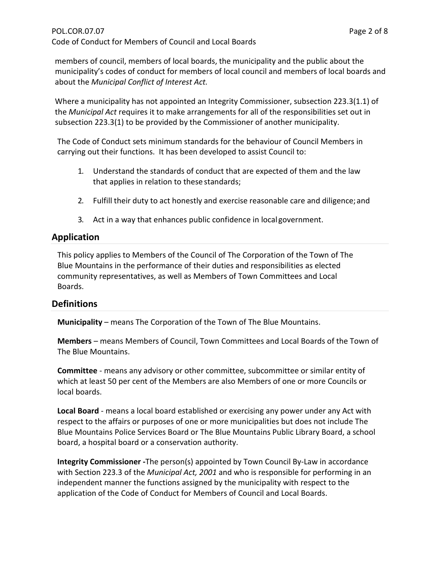members of council, members of local boards, the municipality and the public about the municipality's codes of conduct for members of local council and members of local boards and about the *Municipal Conflict of Interest Act.*

Where a municipality has not appointed an Integrity Commissioner, subsection 223.3(1.1) of the *Municipal Act* requires it to make arrangements for all of the responsibilities set out in subsection 223.3(1) to be provided by the Commissioner of another municipality.

The Code of Conduct sets minimum standards for the behaviour of Council Members in carrying out their functions. It has been developed to assist Council to:

- 1. Understand the standards of conduct that are expected of them and the law that applies in relation to these standards;
- 2. Fulfill their duty to act honestly and exercise reasonable care and diligence; and
- 3. Act in a way that enhances public confidence in localgovernment.

# **Application**

This policy applies to Members of the Council of The Corporation of the Town of The Blue Mountains in the performance of their duties and responsibilities as elected community representatives, as well as Members of Town Committees and Local Boards.

# **Definitions**

**Municipality** – means The Corporation of the Town of The Blue Mountains.

**Members** – means Members of Council, Town Committees and Local Boards of the Town of The Blue Mountains.

**Committee** - means any advisory or other committee, subcommittee or similar entity of which at least 50 per cent of the Members are also Members of one or more Councils or local boards.

**Local Board** - means a local board established or exercising any power under any Act with respect to the affairs or purposes of one or more municipalities but does not include The Blue Mountains Police Services Board or The Blue Mountains Public Library Board, a school board, a hospital board or a conservation authority.

**Integrity Commissioner -**The person(s) appointed by Town Council By-Law in accordance with Section 223.3 of the *Municipal Act, 2001* and who is responsible for performing in an independent manner the functions assigned by the municipality with respect to the application of the Code of Conduct for Members of Council and Local Boards.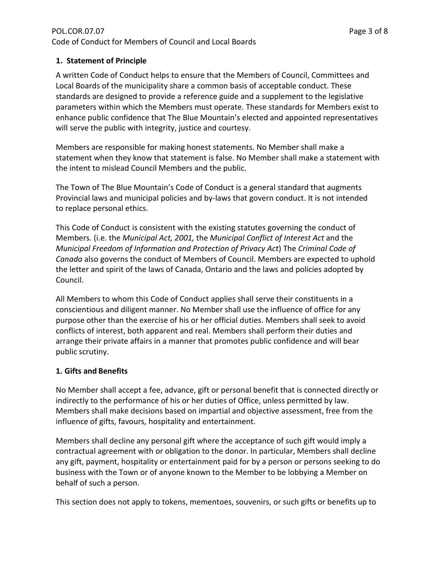## **1. Statement of Principle**

A written Code of Conduct helps to ensure that the Members of Council, Committees and Local Boards of the municipality share a common basis of acceptable conduct. These standards are designed to provide a reference guide and a supplement to the legislative parameters within which the Members must operate. These standards for Members exist to enhance public confidence that The Blue Mountain's elected and appointed representatives will serve the public with integrity, justice and courtesy.

Members are responsible for making honest statements. No Member shall make a statement when they know that statement is false. No Member shall make a statement with the intent to mislead Council Members and the public.

The Town of The Blue Mountain's Code of Conduct is a general standard that augments Provincial laws and municipal policies and by-laws that govern conduct. It is not intended to replace personal ethics.

This Code of Conduct is consistent with the existing statutes governing the conduct of Members. (i.e. the *Municipal Act, 2001,* the *Municipal Conflict of Interest Act* and the *Municipal Freedom of Information and Protection of Privacy Act*) The *Criminal Code of Canada* also governs the conduct of Members of Council. Members are expected to uphold the letter and spirit of the laws of Canada, Ontario and the laws and policies adopted by Council.

All Members to whom this Code of Conduct applies shall serve their constituents in a conscientious and diligent manner. No Member shall use the influence of office for any purpose other than the exercise of his or her official duties. Members shall seek to avoid conflicts of interest, both apparent and real. Members shall perform their duties and arrange their private affairs in a manner that promotes public confidence and will bear public scrutiny.

#### **1. Gifts and Benefits**

No Member shall accept a fee, advance, gift or personal benefit that is connected directly or indirectly to the performance of his or her duties of Office, unless permitted by law. Members shall make decisions based on impartial and objective assessment, free from the influence of gifts, favours, hospitality and entertainment.

Members shall decline any personal gift where the acceptance of such gift would imply a contractual agreement with or obligation to the donor. In particular, Members shall decline any gift, payment, hospitality or entertainment paid for by a person or persons seeking to do business with the Town or of anyone known to the Member to be lobbying a Member on behalf of such a person.

This section does not apply to tokens, mementoes, souvenirs, or such gifts or benefits up to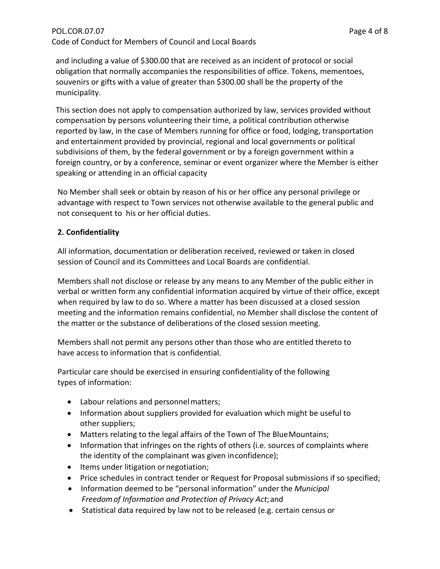# POL.COR.07.07 Page 4 of 8 Code of Conduct for Members of Council and Local Boards

and including a value of \$300.00 that are received as an incident of protocol or social obligation that normally accompanies the responsibilities of office. Tokens, mementoes, souvenirs or gifts with a value of greater than \$300.00 shall be the property of the municipality.

This section does not apply to compensation authorized by law, services provided without compensation by persons volunteering their time, a political contribution otherwise reported by law, in the case of Members running for office or food, lodging, transportation and entertainment provided by provincial, regional and local governments or political subdivisions of them, by the federal government or by a foreign government within a foreign country, or by a conference, seminar or event organizer where the Member is either speaking or attending in an official capacity

No Member shall seek or obtain by reason of his or her office any personal privilege or advantage with respect to Town services not otherwise available to the general public and not consequent to his or her official duties.

# **2. Confidentiality**

All information, documentation or deliberation received, reviewed or taken in closed session of Council and its Committees and Local Boards are confidential.

Members shall not disclose or release by any means to any Member of the public either in verbal or written form any confidential information acquired by virtue of their office, except when required by law to do so. Where a matter has been discussed at a closed session meeting and the information remains confidential, no Member shall disclose the content of the matter or the substance of deliberations of the closed session meeting.

Members shall not permit any persons other than those who are entitled thereto to have access to information that is confidential.

Particular care should be exercised in ensuring confidentiality of the following types of information:

- Labour relations and personnelmatters;
- Information about suppliers provided for evaluation which might be useful to other suppliers;
- Matters relating to the legal affairs of the Town of The BlueMountains;
- Information that infringes on the rights of others (i.e. sources of complaints where the identity of the complainant was given inconfidence);
- Items under litigation ornegotiation;
- Price schedules in contract tender or Request for Proposal submissions if so specified;
- Information deemed to be "personal information" under the *Municipal Freedomof Information and Protection of Privacy Act*;and
- Statistical data required by law not to be released (e.g. certain census or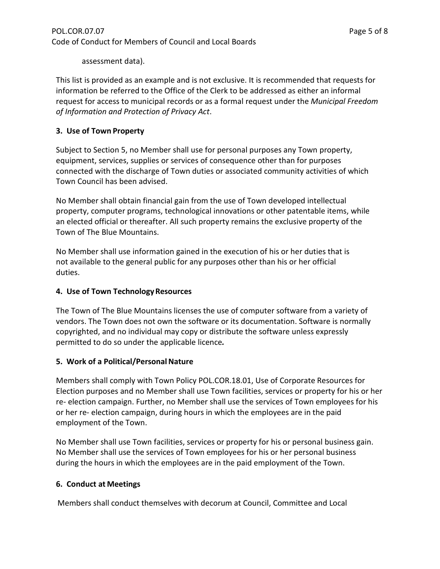assessment data).

This list is provided as an example and is not exclusive. It is recommended that requests for information be referred to the Office of the Clerk to be addressed as either an informal request for access to municipal records or as a formal request under the *Municipal Freedom of Information and Protection of Privacy Act*.

# **3. Use of Town Property**

Subject to Section 5, no Member shall use for personal purposes any Town property, equipment, services, supplies or services of consequence other than for purposes connected with the discharge of Town duties or associated community activities of which Town Council has been advised.

No Member shall obtain financial gain from the use of Town developed intellectual property, computer programs, technological innovations or other patentable items, while an elected official or thereafter. All such property remains the exclusive property of the Town of The Blue Mountains.

No Member shall use information gained in the execution of his or her duties that is not available to the general public for any purposes other than his or her official duties.

## **4. Use of Town TechnologyResources**

The Town of The Blue Mountains licenses the use of computer software from a variety of vendors. The Town does not own the software or its documentation. Software is normally copyrighted, and no individual may copy or distribute the software unless expressly permitted to do so under the applicable licence*.*

## **5.** Work of a Political/Personal Nature

Members shall comply with Town Policy POL.COR.18.01, Use of Corporate Resources for Election purposes and no Member shall use Town facilities, services or property for his or her re- election campaign. Further, no Member shall use the services of Town employees for his or her re- election campaign, during hours in which the employees are in the paid employment of the Town.

No Member shall use Town facilities, services or property for his or personal business gain. No Member shall use the services of Town employees for his or her personal business during the hours in which the employees are in the paid employment of the Town.

## **6. Conduct at Meetings**

Members shall conduct themselves with decorum at Council, Committee and Local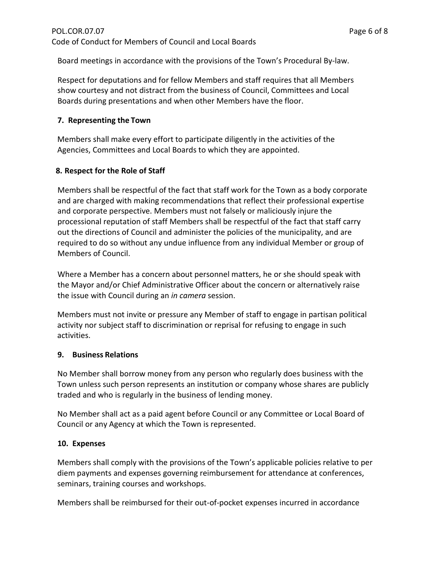Board meetings in accordance with the provisions of the Town's Procedural By-law.

Respect for deputations and for fellow Members and staff requires that all Members show courtesy and not distract from the business of Council, Committees and Local Boards during presentations and when other Members have the floor.

# **7. Representing the Town**

Members shall make every effort to participate diligently in the activities of the Agencies, Committees and Local Boards to which they are appointed.

# **8. Respect for the Role of Staff**

Members shall be respectful of the fact that staff work for the Town as a body corporate and are charged with making recommendations that reflect their professional expertise and corporate perspective. Members must not falsely or maliciously injure the processional reputation of staff Members shall be respectful of the fact that staff carry out the directions of Council and administer the policies of the municipality, and are required to do so without any undue influence from any individual Member or group of Members of Council.

Where a Member has a concern about personnel matters, he or she should speak with the Mayor and/or Chief Administrative Officer about the concern or alternatively raise the issue with Council during an *in camera* session.

Members must not invite or pressure any Member of staff to engage in partisan political activity nor subject staff to discrimination or reprisal for refusing to engage in such activities.

## **9. Business Relations**

No Member shall borrow money from any person who regularly does business with the Town unless such person represents an institution or company whose shares are publicly traded and who is regularly in the business of lending money.

No Member shall act as a paid agent before Council or any Committee or Local Board of Council or any Agency at which the Town is represented.

## **10. Expenses**

Members shall comply with the provisions of the Town's applicable policies relative to per diem payments and expenses governing reimbursement for attendance at conferences, seminars, training courses and workshops.

Members shall be reimbursed for their out-of-pocket expenses incurred in accordance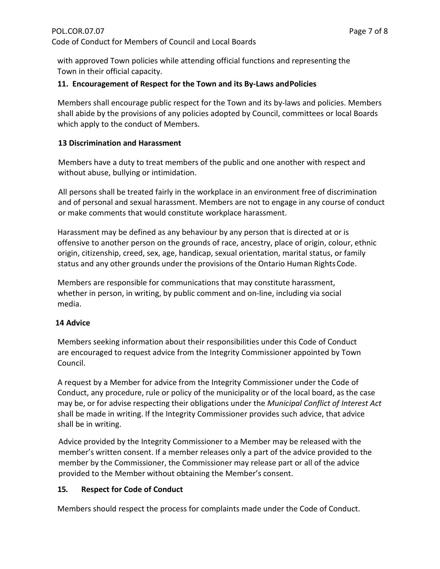with approved Town policies while attending official functions and representing the Town in their official capacity.

#### **11. Encouragement of Respect for the Town and its By-Laws andPolicies**

Members shall encourage public respect for the Town and its by-laws and policies. Members shall abide by the provisions of any policies adopted by Council, committees or local Boards which apply to the conduct of Members.

#### **13 Discrimination and Harassment**

Members have a duty to treat members of the public and one another with respect and without abuse, bullying or intimidation.

All persons shall be treated fairly in the workplace in an environment free of discrimination and of personal and sexual harassment. Members are not to engage in any course of conduct or make comments that would constitute workplace harassment.

Harassment may be defined as any behaviour by any person that is directed at or is offensive to another person on the grounds of race, ancestry, place of origin, colour, ethnic origin, citizenship, creed, sex, age, handicap, sexual orientation, marital status, or family status and any other grounds under the provisions of the Ontario Human RightsCode.

Members are responsible for communications that may constitute harassment, whether in person, in writing, by public comment and on-line, including via social media.

#### **14 Advice**

Members seeking information about their responsibilities under this Code of Conduct are encouraged to request advice from the Integrity Commissioner appointed by Town Council.

A request by a Member for advice from the Integrity Commissioner under the Code of Conduct, any procedure, rule or policy of the municipality or of the local board, as the case may be, or for advise respecting their obligations under the *Municipal Conflict of Interest Act*  shall be made in writing. If the Integrity Commissioner provides such advice, that advice shall be in writing.

Advice provided by the Integrity Commissioner to a Member may be released with the member's written consent. If a member releases only a part of the advice provided to the member by the Commissioner, the Commissioner may release part or all of the advice provided to the Member without obtaining the Member's consent.

## **15. Respect for Code of Conduct**

Members should respect the process for complaints made under the Code of Conduct.